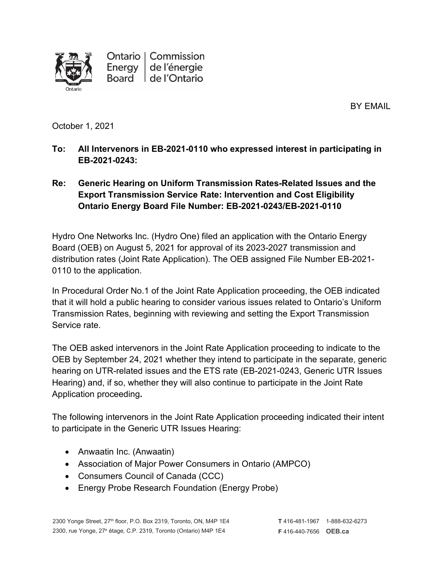

BY EMAIL

October 1, 2021

**To: All Intervenors in EB-2021-0110 who expressed interest in participating in EB-2021-0243:**

## **Re: Generic Hearing on Uniform Transmission Rates-Related Issues and the Export Transmission Service Rate: Intervention and Cost Eligibility Ontario Energy Board File Number: EB-2021-0243/EB-2021-0110**

Hydro One Networks Inc. (Hydro One) filed an application with the Ontario Energy Board (OEB) on August 5, 2021 for approval of its 2023-2027 transmission and distribution rates (Joint Rate Application). The OEB assigned File Number EB-2021- 0110 to the application.

In Procedural Order No.1 of the Joint Rate Application proceeding, the OEB indicated that it will hold a public hearing to consider various issues related to Ontario's Uniform Transmission Rates, beginning with reviewing and setting the Export Transmission Service rate.

The OEB asked intervenors in the Joint Rate Application proceeding to indicate to the OEB by September 24, 2021 whether they intend to participate in the separate, generic hearing on UTR-related issues and the ETS rate (EB-2021-0243, Generic UTR Issues Hearing) and, if so, whether they will also continue to participate in the Joint Rate Application proceeding**.**

The following intervenors in the Joint Rate Application proceeding indicated their intent to participate in the Generic UTR Issues Hearing:

- Anwaatin Inc. (Anwaatin)
- Association of Major Power Consumers in Ontario (AMPCO)
- Consumers Council of Canada (CCC)
- Energy Probe Research Foundation (Energy Probe)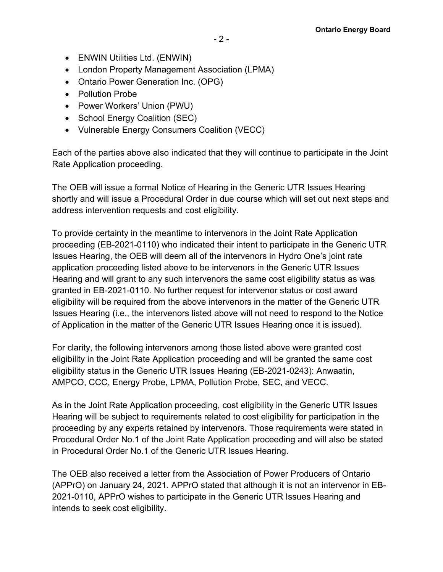- ENWIN Utilities Ltd. (ENWIN)
- London Property Management Association (LPMA)
- Ontario Power Generation Inc. (OPG)
- Pollution Probe
- Power Workers' Union (PWU)
- School Energy Coalition (SEC)
- Vulnerable Energy Consumers Coalition (VECC)

Each of the parties above also indicated that they will continue to participate in the Joint Rate Application proceeding.

The OEB will issue a formal Notice of Hearing in the Generic UTR Issues Hearing shortly and will issue a Procedural Order in due course which will set out next steps and address intervention requests and cost eligibility.

To provide certainty in the meantime to intervenors in the Joint Rate Application proceeding (EB-2021-0110) who indicated their intent to participate in the Generic UTR Issues Hearing, the OEB will deem all of the intervenors in Hydro One's joint rate application proceeding listed above to be intervenors in the Generic UTR Issues Hearing and will grant to any such intervenors the same cost eligibility status as was granted in EB-2021-0110. No further request for intervenor status or cost award eligibility will be required from the above intervenors in the matter of the Generic UTR Issues Hearing (i.e., the intervenors listed above will not need to respond to the Notice of Application in the matter of the Generic UTR Issues Hearing once it is issued).

For clarity, the following intervenors among those listed above were granted cost eligibility in the Joint Rate Application proceeding and will be granted the same cost eligibility status in the Generic UTR Issues Hearing (EB-2021-0243): Anwaatin, AMPCO, CCC, Energy Probe, LPMA, Pollution Probe, SEC, and VECC.

As in the Joint Rate Application proceeding, cost eligibility in the Generic UTR Issues Hearing will be subject to requirements related to cost eligibility for participation in the proceeding by any experts retained by intervenors. Those requirements were stated in Procedural Order No.1 of the Joint Rate Application proceeding and will also be stated in Procedural Order No.1 of the Generic UTR Issues Hearing.

The OEB also received a letter from the Association of Power Producers of Ontario (APPrO) on January 24, 2021. APPrO stated that although it is not an intervenor in EB-2021-0110, APPrO wishes to participate in the Generic UTR Issues Hearing and intends to seek cost eligibility.